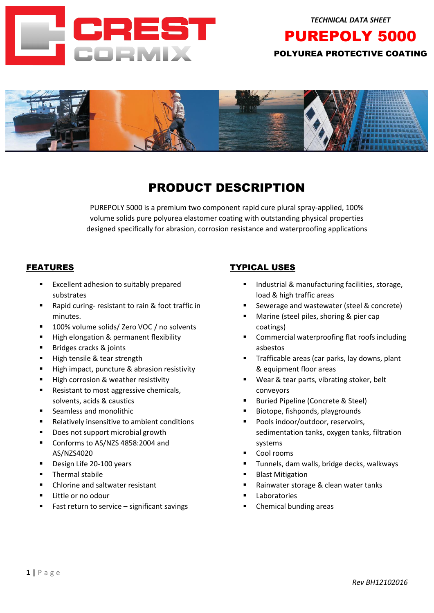

# POLYUREA PROTECTIVE COATING

PUREPOLY 5000



# PRODUCT DESCRIPTION

PUREPOLY 5000 is a premium two component rapid cure plural spray-applied, 100% volume solids pure polyurea elastomer coating with outstanding physical properties designed specifically for abrasion, corrosion resistance and waterproofing applications

# FEATURES

- Excellent adhesion to suitably prepared substrates
- Rapid curing- resistant to rain & foot traffic in minutes.
- 100% volume solids/ Zero VOC / no solvents
- High elongation & permanent flexibility
- Bridges cracks & joints
- High tensile & tear strength
- High impact, puncture & abrasion resistivity
- High corrosion & weather resistivity
- Resistant to most aggressive chemicals, solvents, acids & caustics
- Seamless and monolithic
- Relatively insensitive to ambient conditions
- Does not support microbial growth
- Conforms to AS/NZS 4858:2004 and AS/NZS4020
- Design Life 20-100 years
- Thermal stabile
- Chlorine and saltwater resistant
- Little or no odour
- Fast return to service  $-$  significant savings

# TYPICAL USES

- Industrial & manufacturing facilities, storage, load & high traffic areas
- Sewerage and wastewater (steel & concrete)
- Marine (steel piles, shoring & pier cap coatings)
- Commercial waterproofing flat roofs including asbestos
- Trafficable areas (car parks, lay downs, plant & equipment floor areas
- Wear & tear parts, vibrating stoker, belt conveyors
- Buried Pipeline (Concrete & Steel)
- Biotope, fishponds, playgrounds
- Pools indoor/outdoor, reservoirs, sedimentation tanks, oxygen tanks, filtration systems
- Cool rooms
- Tunnels, dam walls, bridge decks, walkways
- **Blast Mitigation**
- Rainwater storage & clean water tanks
- **Laboratories**
- Chemical bunding areas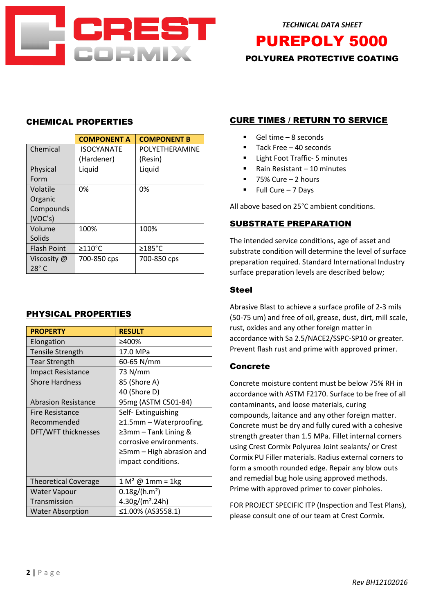

*TECHNICAL DATA SHEET* 

 POLYUREA PROTECTIVE COATING PUREPOLY 5000

# CHEMICAL PROPERTIES

|                    | <b>COMPONENT A</b> | <b>COMPONENT B</b> |
|--------------------|--------------------|--------------------|
| Chemical           | <b>ISOCYANATE</b>  | POLYETHERAMINE     |
|                    | (Hardener)         | (Resin)            |
| Physical           | Liquid             | Liquid             |
| Form               |                    |                    |
| Volatile           | 0%                 | 0%                 |
| Organic            |                    |                    |
| Compounds          |                    |                    |
| (VOC's)            |                    |                    |
| Volume             | 100%               | 100%               |
| Solids             |                    |                    |
| <b>Flash Point</b> | $\geq$ 110°C       | $\geq$ 185°C       |
| Viscosity @        | 700-850 cps        | 700-850 cps        |
| $28^\circ$ C       |                    |                    |

### PHYSICAL PROPERTIES

| <b>PROPERTY</b>             | <b>RESULT</b>                  |  |
|-----------------------------|--------------------------------|--|
| Elongation                  | ≥400%                          |  |
| <b>Tensile Strength</b>     | 17.0 MPa                       |  |
| <b>Tear Strength</b>        | 60-65 N/mm                     |  |
| <b>Impact Resistance</b>    | 73 N/mm                        |  |
| <b>Shore Hardness</b>       | 85 (Shore A)                   |  |
|                             | 40 (Shore D)                   |  |
| <b>Abrasion Resistance</b>  | 95mg (ASTM C501-84)            |  |
| Fire Resistance             | Self-Extinguishing             |  |
| Recommended                 | $\geq$ 1.5mm – Waterproofing.  |  |
| DFT/WFT thicknesses         | $\geq$ 3mm – Tank Lining &     |  |
|                             | corrosive environments.        |  |
|                             | $\geq$ 5mm – High abrasion and |  |
|                             | impact conditions.             |  |
|                             |                                |  |
| <b>Theoretical Coverage</b> | $1 M2 @ 1mm = 1kg$             |  |
| Water Vapour                | $0.18g/(h.m^2)$                |  |
| Transmission                | $4.30g/(m^2.24h)$              |  |
| <b>Water Absorption</b>     | ≤1.00% (AS3558.1)              |  |

# CURE TIMES / RETURN TO SERVICE

- $\blacksquare$  Gel time 8 seconds
- Tack Free  $-40$  seconds
- Light Foot Traffic- 5 minutes
- Rain Resistant 10 minutes
- $75%$  Cure 2 hours
- Full Cure 7 Days

All above based on 25°C ambient conditions.

# SUBSTRATE PREPARATION

The intended service conditions, age of asset and substrate condition will determine the level of surface preparation required. Standard International Industry surface preparation levels are described below;

#### Steel

Abrasive Blast to achieve a surface profile of 2-3 mils (50-75 um) and free of oil, grease, dust, dirt, mill scale, rust, oxides and any other foreign matter in accordance with Sa 2.5/NACE2/SSPC-SP10 or greater. Prevent flash rust and prime with approved primer.

### Concrete

Concrete moisture content must be below 75% RH in accordance with ASTM F2170. Surface to be free of all contaminants, and loose materials, curing compounds, laitance and any other foreign matter. Concrete must be dry and fully cured with a cohesive strength greater than 1.5 MPa. Fillet internal corners using Crest Cormix Polyurea Joint sealants/ or Crest Cormix PU Filler materials. Radius external corners to form a smooth rounded edge. Repair any blow outs and remedial bug hole using approved methods. Prime with approved primer to cover pinholes.

FOR PROJECT SPECIFIC ITP (Inspection and Test Plans), please consult one of our team at Crest Cormix.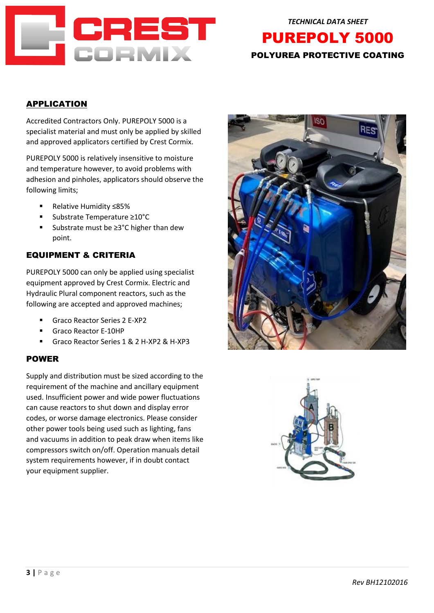

 POLYUREA PROTECTIVE COATING *TECHNICAL DATA SHEET*  PUREPOLY 5000

# APPLICATION

Accredited Contractors Only. PUREPOLY 5000 is a specialist material and must only be applied by skilled and approved applicators certified by Crest Cormix.

PUREPOLY 5000 is relatively insensitive to moisture and temperature however, to avoid problems with adhesion and pinholes, applicators should observe the following limits;

- Relative Humidity ≤85%
- Substrate Temperature ≥10°C
- Substrate must be ≥3°C higher than dew point.

# EQUIPMENT & CRITERIA

PUREPOLY 5000 can only be applied using specialist equipment approved by Crest Cormix. Electric and Hydraulic Plural component reactors, such as the following are accepted and approved machines;

- Graco Reactor Series 2 E-XP2
- Graco Reactor E-10HP
- Graco Reactor Series 1 & 2 H-XP2 & H-XP3

#### POWER

Supply and distribution must be sized according to the requirement of the machine and ancillary equipment used. Insufficient power and wide power fluctuations can cause reactors to shut down and display error codes, or worse damage electronics. Please consider other power tools being used such as lighting, fans and vacuums in addition to peak draw when items like compressors switch on/off. Operation manuals detail system requirements however, if in doubt contact your equipment supplier.



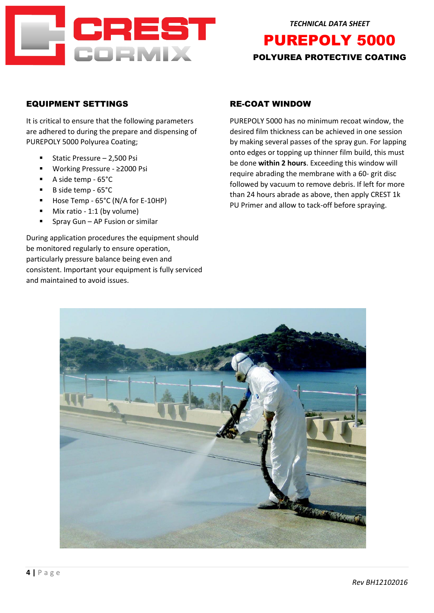

# POLYUREA PROTECTIVE COATING PUREPOLY 5000

# EQUIPMENT SETTINGS

It is critical to ensure that the following parameters are adhered to during the prepare and dispensing of PUREPOLY 5000 Polyurea Coating;

- Static Pressure 2,500 Psi
- Working Pressure ≥2000 Psi
- A side temp 65°C
- B side temp 65°C
- Hose Temp 65°C (N/A for E-10HP)
- Mix ratio 1:1 (by volume)
- Spray Gun AP Fusion or similar

During application procedures the equipment should be monitored regularly to ensure operation, particularly pressure balance being even and consistent. Important your equipment is fully serviced and maintained to avoid issues.

# RE-COAT WINDOW

PUREPOLY 5000 has no minimum recoat window, the desired film thickness can be achieved in one session by making several passes of the spray gun. For lapping onto edges or topping up thinner film build, this must be done **within 2 hours**. Exceeding this window will require abrading the membrane with a 60- grit disc followed by vacuum to remove debris. If left for more than 24 hours abrade as above, then apply CREST 1k PU Primer and allow to tack-off before spraying.